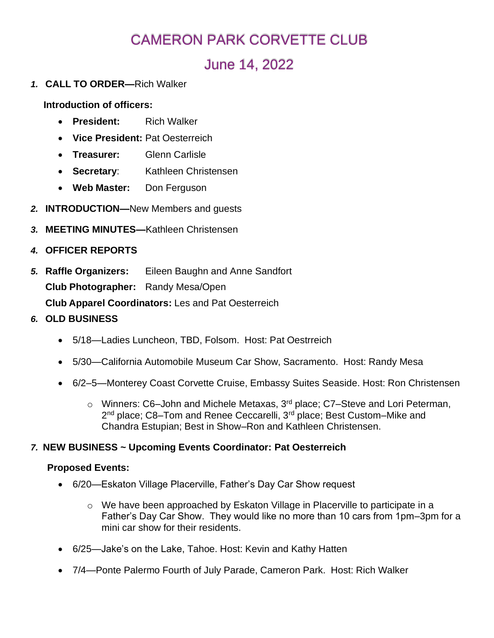# CAMERON PARK CORVETTE CLUB

# June 14, 2022

*1.* **CALL TO ORDER—**Rich Walker

**Introduction of officers:**

- **President:** Rich Walker
- **Vice President:** Pat Oesterreich
- **Treasurer:** Glenn Carlisle
- **Secretary**: Kathleen Christensen
- **Web Master:** Don Ferguson
- *2.* **INTRODUCTION—**New Members and guests
- *3.* **MEETING MINUTES—**Kathleen Christensen
- *4.* **OFFICER REPORTS**
- *5.* **Raffle Organizers:** Eileen Baughn and Anne Sandfort **Club Photographer:** Randy Mesa/Open **Club Apparel Coordinators:** Les and Pat Oesterreich
- *6.* **OLD BUSINESS**
	- 5/18—Ladies Luncheon, TBD, Folsom. Host: Pat Oestrreich
	- 5/30—California Automobile Museum Car Show, Sacramento. Host: Randy Mesa
	- 6/2–5—Monterey Coast Corvette Cruise, Embassy Suites Seaside. Host: Ron Christensen
		- o Winners: C6–John and Michele Metaxas, 3rd place; C7–Steve and Lori Peterman, 2<sup>nd</sup> place; C8–Tom and Renee Ceccarelli, 3<sup>rd</sup> place; Best Custom–Mike and Chandra Estupian; Best in Show–Ron and Kathleen Christensen.

## *7.* **NEW BUSINESS ~ Upcoming Events Coordinator: Pat Oesterreich**

#### **Proposed Events:**

- 6/20—Eskaton Village Placerville, Father's Day Car Show request
	- o We have been approached by Eskaton Village in Placerville to participate in a Father's Day Car Show. They would like no more than 10 cars from 1pm–3pm for a mini car show for their residents.
- 6/25—Jake's on the Lake, Tahoe. Host: Kevin and Kathy Hatten
- 7/4—Ponte Palermo Fourth of July Parade, Cameron Park. Host: Rich Walker